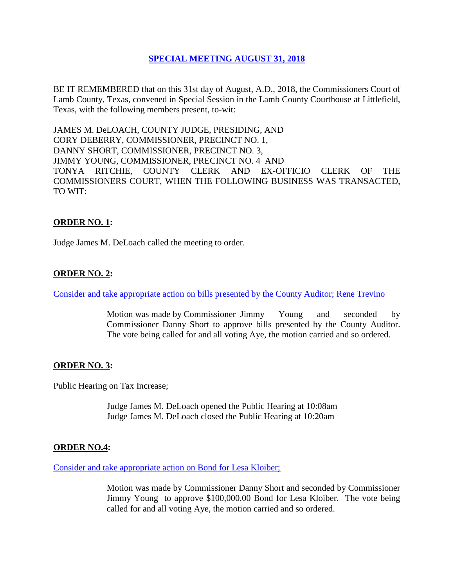# **SPECIAL [MEETING AUGUST 31, 2018](Links%202018-08-31-Special/01%20AGENDA%20SPECIAL%20MEETING%20AUGUST%2031,%202018.pdf)**

BE IT REMEMBERED that on this 31st day of August, A.D., 2018, the Commissioners Court of Lamb County, Texas, convened in Special Session in the Lamb County Courthouse at Littlefield, Texas, with the following members present, to-wit:

JAMES M. DeLOACH, COUNTY JUDGE, PRESIDING, AND CORY DEBERRY, COMMISSIONER, PRECINCT NO. 1, DANNY SHORT, COMMISSIONER, PRECINCT NO. 3, JIMMY YOUNG, COMMISSIONER, PRECINCT NO. 4 AND TONYA RITCHIE, COUNTY CLERK AND EX-OFFICIO CLERK OF THE COMMISSIONERS COURT, WHEN THE FOLLOWING BUSINESS WAS TRANSACTED, TO WIT:

# **ORDER NO. 1:**

Judge James M. DeLoach called the meeting to order.

### **ORDER NO. 2:**

[Consider and take appropriate action on bills presented by the County Auditor; Rene Trevino](Links%202018-08-31-Special/03%20ACCOUNTS%20PAYABLE%20SPECIAL%20MEETING%20AUGUST%2031,%202018.pdf)

Motion was made by Commissioner Jimmy Young and seconded by Commissioner Danny Short to approve bills presented by the County Auditor. The vote being called for and all voting Aye, the motion carried and so ordered.

### **ORDER NO. 3:**

Public Hearing on Tax Increase;

Judge James M. DeLoach opened the Public Hearing at 10:08am Judge James M. DeLoach closed the Public Hearing at 10:20am

#### **ORDER NO.4:**

[Consider and take appropriate action on Bond for Lesa Kloiber;](Links%202018-08-31-Special/04%20BOND%20FOR%20LESA%20KLOIBER%20SPECIAL%20MEETING%20AUGUST%2031,%202018.pdf)

Motion was made by Commissioner Danny Short and seconded by Commissioner Jimmy Young to approve \$100,000.00 Bond for Lesa Kloiber. The vote being called for and all voting Aye, the motion carried and so ordered.